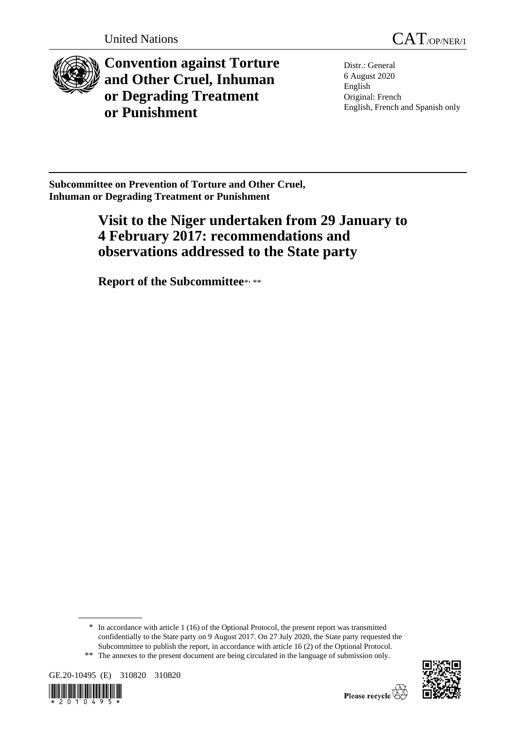

**Convention against Torture and Other Cruel, Inhuman or Degrading Treatment or Punishment**

Distr.: General 6 August 2020 English Original: French English, French and Spanish only

**Subcommittee on Prevention of Torture and Other Cruel, Inhuman or Degrading Treatment or Punishment**

# **Visit to the Niger undertaken from 29 January to 4 February 2017: recommendations and observations addressed to the State party**

**Report of the Subcommittee**\* , \*\*

<sup>\*\*</sup> The annexes to the present document are being circulated in the language of submission only.







<sup>\*</sup> In accordance with article 1 (16) of the Optional Protocol, the present report was transmitted confidentially to the State party on 9 August 2017. On 27 July 2020, the State party requested the Subcommittee to publish the report, in accordance with article 16 (2) of the Optional Protocol.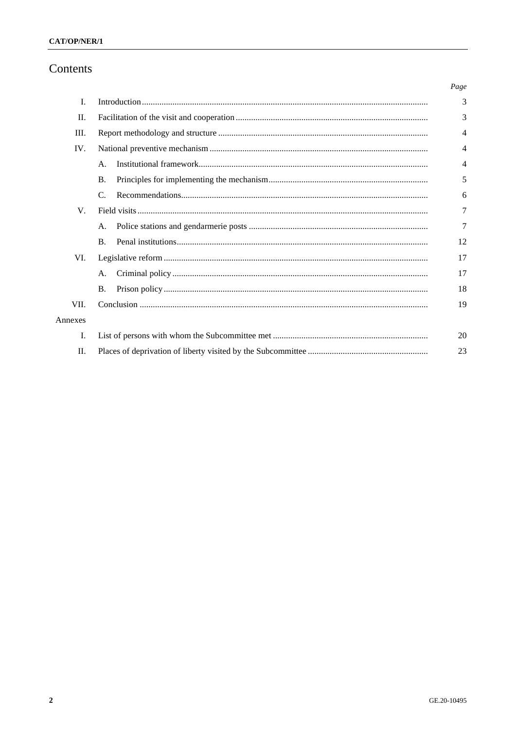# Contents

|         |                | Page |
|---------|----------------|------|
| I.      |                | 3    |
| П.      |                | 3    |
| Ш.      |                | 4    |
| IV.     |                | 4    |
|         | A.             | 4    |
|         | <b>B.</b>      | 5    |
|         | C.             | 6    |
| V.      |                | 7    |
|         | A.             | 7    |
|         | $\mathbf{B}$ . | 12   |
| VI.     |                | 17   |
|         | A.             | 17   |
|         | Β.             | 18   |
| VII.    |                | 19   |
| Annexes |                |      |
| Ι.      |                | 20   |
| II.     |                | 23   |
|         |                |      |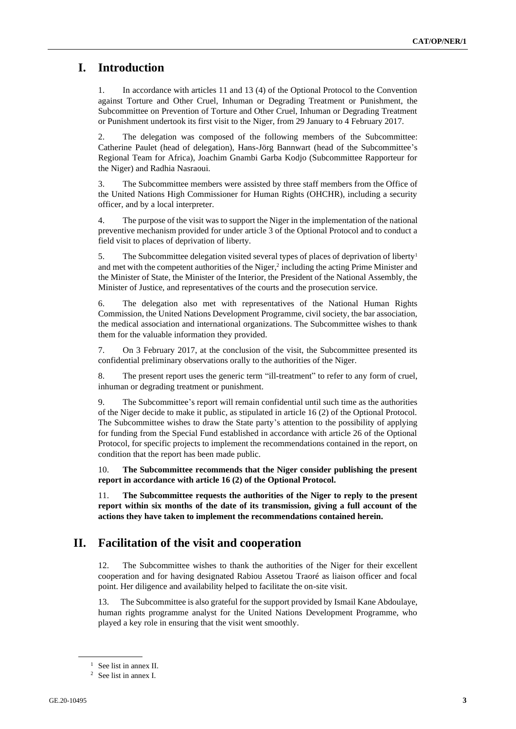## **I. Introduction**

1. In accordance with articles 11 and 13 (4) of the Optional Protocol to the Convention against Torture and Other Cruel, Inhuman or Degrading Treatment or Punishment, the Subcommittee on Prevention of Torture and Other Cruel, Inhuman or Degrading Treatment or Punishment undertook its first visit to the Niger, from 29 January to 4 February 2017.

2. The delegation was composed of the following members of the Subcommittee: Catherine Paulet (head of delegation), Hans-Jörg Bannwart (head of the Subcommittee's Regional Team for Africa), Joachim Gnambi Garba Kodjo (Subcommittee Rapporteur for the Niger) and Radhia Nasraoui.

3. The Subcommittee members were assisted by three staff members from the Office of the United Nations High Commissioner for Human Rights (OHCHR), including a security officer, and by a local interpreter.

4. The purpose of the visit was to support the Niger in the implementation of the national preventive mechanism provided for under article 3 of the Optional Protocol and to conduct a field visit to places of deprivation of liberty.

5. The Subcommittee delegation visited several types of places of deprivation of liberty<sup>1</sup> and met with the competent authorities of the Niger, $2$  including the acting Prime Minister and the Minister of State, the Minister of the Interior, the President of the National Assembly, the Minister of Justice, and representatives of the courts and the prosecution service.

6. The delegation also met with representatives of the National Human Rights Commission, the United Nations Development Programme, civil society, the bar association, the medical association and international organizations. The Subcommittee wishes to thank them for the valuable information they provided.

7. On 3 February 2017, at the conclusion of the visit, the Subcommittee presented its confidential preliminary observations orally to the authorities of the Niger.

8. The present report uses the generic term "ill-treatment" to refer to any form of cruel, inhuman or degrading treatment or punishment.

9. The Subcommittee's report will remain confidential until such time as the authorities of the Niger decide to make it public, as stipulated in article 16 (2) of the Optional Protocol. The Subcommittee wishes to draw the State party's attention to the possibility of applying for funding from the Special Fund established in accordance with article 26 of the Optional Protocol, for specific projects to implement the recommendations contained in the report, on condition that the report has been made public.

10. **The Subcommittee recommends that the Niger consider publishing the present report in accordance with article 16 (2) of the Optional Protocol.**

11. **The Subcommittee requests the authorities of the Niger to reply to the present report within six months of the date of its transmission, giving a full account of the actions they have taken to implement the recommendations contained herein.**

### **II. Facilitation of the visit and cooperation**

12. The Subcommittee wishes to thank the authorities of the Niger for their excellent cooperation and for having designated Rabiou Assetou Traoré as liaison officer and focal point. Her diligence and availability helped to facilitate the on-site visit.

13. The Subcommittee is also grateful for the support provided by Ismail Kane Abdoulaye, human rights programme analyst for the United Nations Development Programme, who played a key role in ensuring that the visit went smoothly.

<sup>&</sup>lt;sup>1</sup> See list in annex II.

<sup>2</sup> See list in annex I.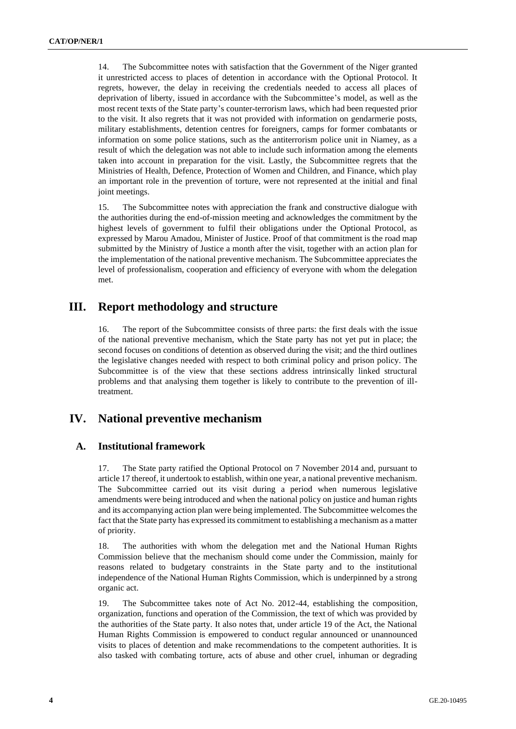14. The Subcommittee notes with satisfaction that the Government of the Niger granted it unrestricted access to places of detention in accordance with the Optional Protocol. It regrets, however, the delay in receiving the credentials needed to access all places of deprivation of liberty, issued in accordance with the Subcommittee's model, as well as the most recent texts of the State party's counter-terrorism laws, which had been requested prior to the visit. It also regrets that it was not provided with information on gendarmerie posts, military establishments, detention centres for foreigners, camps for former combatants or information on some police stations, such as the antiterrorism police unit in Niamey, as a result of which the delegation was not able to include such information among the elements taken into account in preparation for the visit. Lastly, the Subcommittee regrets that the Ministries of Health, Defence, Protection of Women and Children, and Finance, which play an important role in the prevention of torture, were not represented at the initial and final joint meetings.

15. The Subcommittee notes with appreciation the frank and constructive dialogue with the authorities during the end-of-mission meeting and acknowledges the commitment by the highest levels of government to fulfil their obligations under the Optional Protocol, as expressed by Marou Amadou, Minister of Justice. Proof of that commitment is the road map submitted by the Ministry of Justice a month after the visit, together with an action plan for the implementation of the national preventive mechanism. The Subcommittee appreciates the level of professionalism, cooperation and efficiency of everyone with whom the delegation met.

# **III. Report methodology and structure**

16. The report of the Subcommittee consists of three parts: the first deals with the issue of the national preventive mechanism, which the State party has not yet put in place; the second focuses on conditions of detention as observed during the visit; and the third outlines the legislative changes needed with respect to both criminal policy and prison policy. The Subcommittee is of the view that these sections address intrinsically linked structural problems and that analysing them together is likely to contribute to the prevention of illtreatment.

# **IV. National preventive mechanism**

### **A. Institutional framework**

17. The State party ratified the Optional Protocol on 7 November 2014 and, pursuant to article 17 thereof, it undertook to establish, within one year, a national preventive mechanism. The Subcommittee carried out its visit during a period when numerous legislative amendments were being introduced and when the national policy on justice and human rights and its accompanying action plan were being implemented. The Subcommittee welcomes the fact that the State party has expressed its commitment to establishing a mechanism as a matter of priority.

18. The authorities with whom the delegation met and the National Human Rights Commission believe that the mechanism should come under the Commission, mainly for reasons related to budgetary constraints in the State party and to the institutional independence of the National Human Rights Commission, which is underpinned by a strong organic act.

19. The Subcommittee takes note of Act No. 2012-44, establishing the composition, organization, functions and operation of the Commission, the text of which was provided by the authorities of the State party. It also notes that, under article 19 of the Act, the National Human Rights Commission is empowered to conduct regular announced or unannounced visits to places of detention and make recommendations to the competent authorities. It is also tasked with combating torture, acts of abuse and other cruel, inhuman or degrading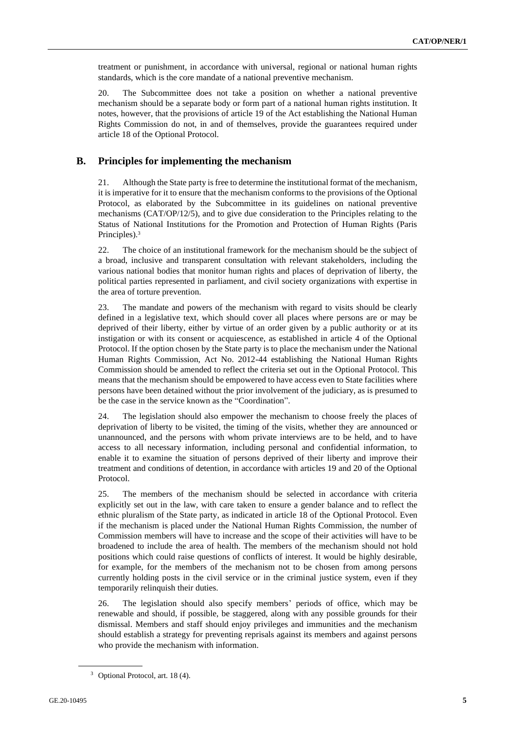treatment or punishment, in accordance with universal, regional or national human rights standards, which is the core mandate of a national preventive mechanism.

20. The Subcommittee does not take a position on whether a national preventive mechanism should be a separate body or form part of a national human rights institution. It notes, however, that the provisions of article 19 of the Act establishing the National Human Rights Commission do not, in and of themselves, provide the guarantees required under article 18 of the Optional Protocol.

### **B. Principles for implementing the mechanism**

21. Although the State party is free to determine the institutional format of the mechanism, it is imperative for it to ensure that the mechanism conforms to the provisions of the Optional Protocol, as elaborated by the Subcommittee in its guidelines on national preventive mechanisms (CAT/OP/12/5), and to give due consideration to the Principles relating to the Status of National Institutions for the Promotion and Protection of Human Rights (Paris Principles).<sup>3</sup>

22. The choice of an institutional framework for the mechanism should be the subject of a broad, inclusive and transparent consultation with relevant stakeholders, including the various national bodies that monitor human rights and places of deprivation of liberty, the political parties represented in parliament, and civil society organizations with expertise in the area of torture prevention.

23. The mandate and powers of the mechanism with regard to visits should be clearly defined in a legislative text, which should cover all places where persons are or may be deprived of their liberty, either by virtue of an order given by a public authority or at its instigation or with its consent or acquiescence, as established in article 4 of the Optional Protocol. If the option chosen by the State party is to place the mechanism under the National Human Rights Commission, Act No. 2012-44 establishing the National Human Rights Commission should be amended to reflect the criteria set out in the Optional Protocol. This means that the mechanism should be empowered to have access even to State facilities where persons have been detained without the prior involvement of the judiciary, as is presumed to be the case in the service known as the "Coordination".

24. The legislation should also empower the mechanism to choose freely the places of deprivation of liberty to be visited, the timing of the visits, whether they are announced or unannounced, and the persons with whom private interviews are to be held, and to have access to all necessary information, including personal and confidential information, to enable it to examine the situation of persons deprived of their liberty and improve their treatment and conditions of detention, in accordance with articles 19 and 20 of the Optional Protocol.

25. The members of the mechanism should be selected in accordance with criteria explicitly set out in the law, with care taken to ensure a gender balance and to reflect the ethnic pluralism of the State party, as indicated in article 18 of the Optional Protocol. Even if the mechanism is placed under the National Human Rights Commission, the number of Commission members will have to increase and the scope of their activities will have to be broadened to include the area of health. The members of the mechanism should not hold positions which could raise questions of conflicts of interest. It would be highly desirable, for example, for the members of the mechanism not to be chosen from among persons currently holding posts in the civil service or in the criminal justice system, even if they temporarily relinquish their duties.

26. The legislation should also specify members' periods of office, which may be renewable and should, if possible, be staggered, along with any possible grounds for their dismissal. Members and staff should enjoy privileges and immunities and the mechanism should establish a strategy for preventing reprisals against its members and against persons who provide the mechanism with information.

<sup>3</sup> Optional Protocol, art. 18 (4).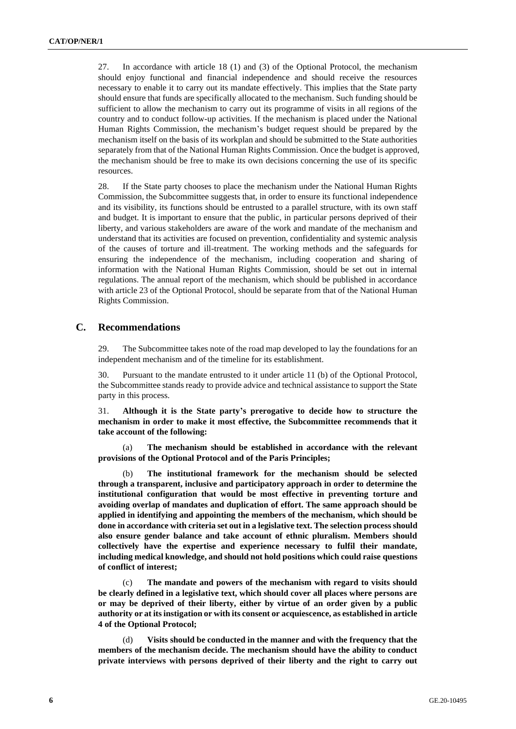27. In accordance with article 18 (1) and (3) of the Optional Protocol, the mechanism should enjoy functional and financial independence and should receive the resources necessary to enable it to carry out its mandate effectively. This implies that the State party should ensure that funds are specifically allocated to the mechanism. Such funding should be sufficient to allow the mechanism to carry out its programme of visits in all regions of the country and to conduct follow-up activities. If the mechanism is placed under the National Human Rights Commission, the mechanism's budget request should be prepared by the mechanism itself on the basis of its workplan and should be submitted to the State authorities separately from that of the National Human Rights Commission. Once the budget is approved, the mechanism should be free to make its own decisions concerning the use of its specific resources.

28. If the State party chooses to place the mechanism under the National Human Rights Commission, the Subcommittee suggests that, in order to ensure its functional independence and its visibility, its functions should be entrusted to a parallel structure, with its own staff and budget. It is important to ensure that the public, in particular persons deprived of their liberty, and various stakeholders are aware of the work and mandate of the mechanism and understand that its activities are focused on prevention, confidentiality and systemic analysis of the causes of torture and ill-treatment. The working methods and the safeguards for ensuring the independence of the mechanism, including cooperation and sharing of information with the National Human Rights Commission, should be set out in internal regulations. The annual report of the mechanism, which should be published in accordance with article 23 of the Optional Protocol, should be separate from that of the National Human Rights Commission.

### **C. Recommendations**

29. The Subcommittee takes note of the road map developed to lay the foundations for an independent mechanism and of the timeline for its establishment.

30. Pursuant to the mandate entrusted to it under article 11 (b) of the Optional Protocol, the Subcommittee stands ready to provide advice and technical assistance to support the State party in this process.

31. **Although it is the State party's prerogative to decide how to structure the mechanism in order to make it most effective, the Subcommittee recommends that it take account of the following:**

(a) **The mechanism should be established in accordance with the relevant provisions of the Optional Protocol and of the Paris Principles;**

(b) **The institutional framework for the mechanism should be selected through a transparent, inclusive and participatory approach in order to determine the institutional configuration that would be most effective in preventing torture and avoiding overlap of mandates and duplication of effort. The same approach should be applied in identifying and appointing the members of the mechanism, which should be done in accordance with criteria set out in a legislative text. The selection process should also ensure gender balance and take account of ethnic pluralism. Members should collectively have the expertise and experience necessary to fulfil their mandate, including medical knowledge, and should not hold positions which could raise questions of conflict of interest;**

(c) **The mandate and powers of the mechanism with regard to visits should be clearly defined in a legislative text, which should cover all places where persons are or may be deprived of their liberty, either by virtue of an order given by a public authority or at its instigation or with its consent or acquiescence, as established in article 4 of the Optional Protocol;**

(d) **Visits should be conducted in the manner and with the frequency that the members of the mechanism decide. The mechanism should have the ability to conduct private interviews with persons deprived of their liberty and the right to carry out**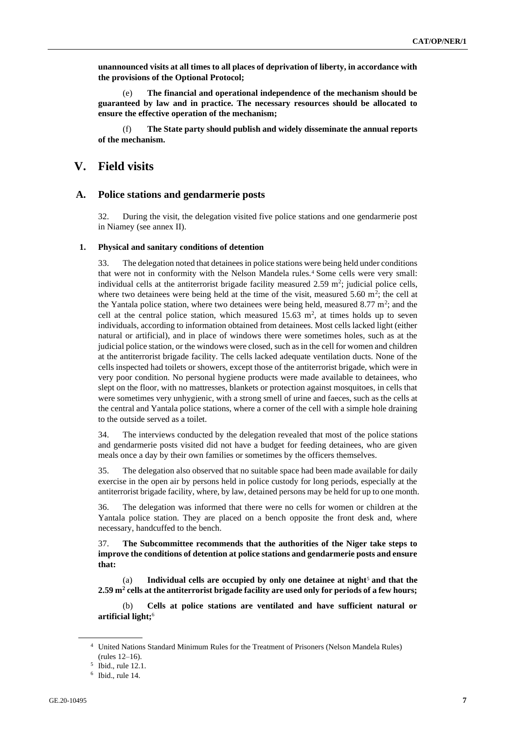**unannounced visits at all times to all places of deprivation of liberty, in accordance with the provisions of the Optional Protocol;**

(e) **The financial and operational independence of the mechanism should be guaranteed by law and in practice. The necessary resources should be allocated to ensure the effective operation of the mechanism;**

(f) **The State party should publish and widely disseminate the annual reports of the mechanism.**

### **V. Field visits**

### **A. Police stations and gendarmerie posts**

32. During the visit, the delegation visited five police stations and one gendarmerie post in Niamey (see annex II).

#### **1. Physical and sanitary conditions of detention**

33. The delegation noted that detainees in police stations were being held under conditions that were not in conformity with the Nelson Mandela rules.<sup>4</sup> Some cells were very small: individual cells at the antiterrorist brigade facility measured  $2.59 \text{ m}^2$ ; judicial police cells, where two detainees were being held at the time of the visit, measured 5.60  $m^2$ ; the cell at the Yantala police station, where two detainees were being held, measured  $8.77 \text{ m}^2$ ; and the cell at the central police station, which measured  $15.63 \text{ m}^2$ , at times holds up to seven individuals, according to information obtained from detainees. Most cells lacked light (either natural or artificial), and in place of windows there were sometimes holes, such as at the judicial police station, or the windows were closed, such as in the cell for women and children at the antiterrorist brigade facility. The cells lacked adequate ventilation ducts. None of the cells inspected had toilets or showers, except those of the antiterrorist brigade, which were in very poor condition. No personal hygiene products were made available to detainees, who slept on the floor, with no mattresses, blankets or protection against mosquitoes, in cells that were sometimes very unhygienic, with a strong smell of urine and faeces, such as the cells at the central and Yantala police stations, where a corner of the cell with a simple hole draining to the outside served as a toilet.

34. The interviews conducted by the delegation revealed that most of the police stations and gendarmerie posts visited did not have a budget for feeding detainees, who are given meals once a day by their own families or sometimes by the officers themselves.

35. The delegation also observed that no suitable space had been made available for daily exercise in the open air by persons held in police custody for long periods, especially at the antiterrorist brigade facility, where, by law, detained persons may be held for up to one month.

36. The delegation was informed that there were no cells for women or children at the Yantala police station. They are placed on a bench opposite the front desk and, where necessary, handcuffed to the bench.

37. **The Subcommittee recommends that the authorities of the Niger take steps to improve the conditions of detention at police stations and gendarmerie posts and ensure that:**

(a) **Individual cells are occupied by only one detainee at night**<sup>5</sup> **and that the 2.59 m<sup>2</sup> cells at the antiterrorist brigade facility are used only for periods of a few hours;**

(b) **Cells at police stations are ventilated and have sufficient natural or artificial light;**<sup>6</sup>

<sup>4</sup> United Nations Standard Minimum Rules for the Treatment of Prisoners (Nelson Mandela Rules) (rules 12–16).

<sup>5</sup> Ibid., rule 12.1.

<sup>6</sup> Ibid., rule 14.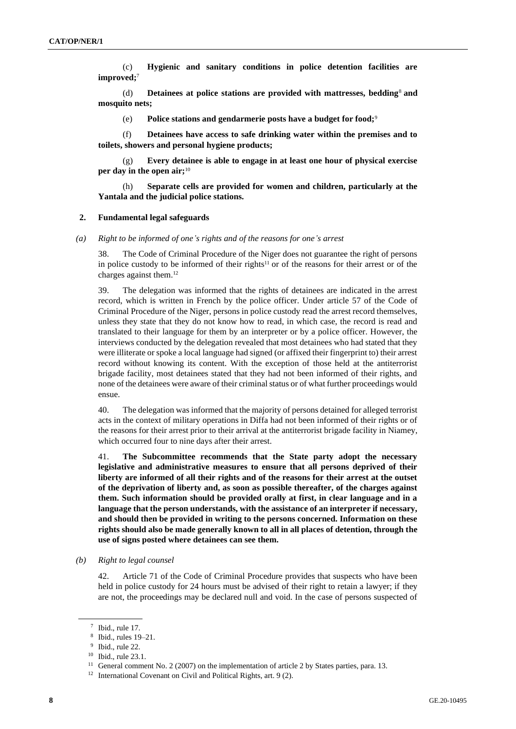(c) **Hygienic and sanitary conditions in police detention facilities are improved;**<sup>7</sup>

(d) **Detainees at police stations are provided with mattresses, bedding**<sup>8</sup> **and mosquito nets;** 

(e) **Police stations and gendarmerie posts have a budget for food;**<sup>9</sup>

(f) **Detainees have access to safe drinking water within the premises and to toilets, showers and personal hygiene products;**

(g) **Every detainee is able to engage in at least one hour of physical exercise per day in the open air;**<sup>10</sup>

(h) **Separate cells are provided for women and children, particularly at the Yantala and the judicial police stations.** 

#### **2. Fundamental legal safeguards**

*(a) Right to be informed of one's rights and of the reasons for one's arrest*

38. The Code of Criminal Procedure of the Niger does not guarantee the right of persons in police custody to be informed of their rights<sup>11</sup> or of the reasons for their arrest or of the charges against them.<sup>12</sup>

39. The delegation was informed that the rights of detainees are indicated in the arrest record, which is written in French by the police officer. Under article 57 of the Code of Criminal Procedure of the Niger, persons in police custody read the arrest record themselves, unless they state that they do not know how to read, in which case, the record is read and translated to their language for them by an interpreter or by a police officer. However, the interviews conducted by the delegation revealed that most detainees who had stated that they were illiterate or spoke a local language had signed (or affixed their fingerprint to) their arrest record without knowing its content. With the exception of those held at the antiterrorist brigade facility, most detainees stated that they had not been informed of their rights, and none of the detainees were aware of their criminal status or of what further proceedings would ensue.

40. The delegation was informed that the majority of persons detained for alleged terrorist acts in the context of military operations in Diffa had not been informed of their rights or of the reasons for their arrest prior to their arrival at the antiterrorist brigade facility in Niamey, which occurred four to nine days after their arrest.

41. **The Subcommittee recommends that the State party adopt the necessary legislative and administrative measures to ensure that all persons deprived of their liberty are informed of all their rights and of the reasons for their arrest at the outset of the deprivation of liberty and, as soon as possible thereafter, of the charges against them. Such information should be provided orally at first, in clear language and in a language that the person understands, with the assistance of an interpreter if necessary, and should then be provided in writing to the persons concerned. Information on these rights should also be made generally known to all in all places of detention, through the use of signs posted where detainees can see them.**

*(b) Right to legal counsel*

42. Article 71 of the Code of Criminal Procedure provides that suspects who have been held in police custody for 24 hours must be advised of their right to retain a lawyer; if they are not, the proceedings may be declared null and void. In the case of persons suspected of

<sup>7</sup> Ibid., rule 17.

<sup>8</sup> Ibid., rules 19–21.

<sup>9</sup> Ibid., rule 22.

<sup>10</sup> Ibid., rule 23.1.

<sup>&</sup>lt;sup>11</sup> General comment No. 2 (2007) on the implementation of article 2 by States parties, para. 13.

<sup>&</sup>lt;sup>12</sup> International Covenant on Civil and Political Rights, art. 9 (2).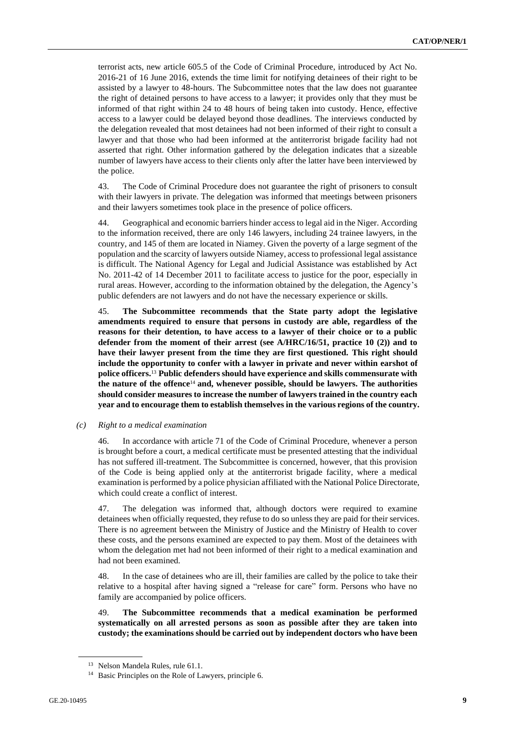terrorist acts, new article 605.5 of the Code of Criminal Procedure, introduced by Act No. 2016-21 of 16 June 2016, extends the time limit for notifying detainees of their right to be assisted by a lawyer to 48-hours. The Subcommittee notes that the law does not guarantee the right of detained persons to have access to a lawyer; it provides only that they must be informed of that right within 24 to 48 hours of being taken into custody. Hence, effective access to a lawyer could be delayed beyond those deadlines. The interviews conducted by the delegation revealed that most detainees had not been informed of their right to consult a lawyer and that those who had been informed at the antiterrorist brigade facility had not asserted that right. Other information gathered by the delegation indicates that a sizeable number of lawyers have access to their clients only after the latter have been interviewed by the police.

43. The Code of Criminal Procedure does not guarantee the right of prisoners to consult with their lawyers in private. The delegation was informed that meetings between prisoners and their lawyers sometimes took place in the presence of police officers.

44. Geographical and economic barriers hinder access to legal aid in the Niger. According to the information received, there are only 146 lawyers, including 24 trainee lawyers, in the country, and 145 of them are located in Niamey. Given the poverty of a large segment of the population and the scarcity of lawyers outside Niamey, access to professional legal assistance is difficult. The National Agency for Legal and Judicial Assistance was established by Act No. 2011-42 of 14 December 2011 to facilitate access to justice for the poor, especially in rural areas. However, according to the information obtained by the delegation, the Agency's public defenders are not lawyers and do not have the necessary experience or skills.

45. **The Subcommittee recommends that the State party adopt the legislative amendments required to ensure that persons in custody are able, regardless of the reasons for their detention, to have access to a lawyer of their choice or to a public defender from the moment of their arrest (see A/HRC/16/51, practice 10 (2)) and to have their lawyer present from the time they are first questioned. This right should include the opportunity to confer with a lawyer in private and never within earshot of police officers.**<sup>13</sup> **Public defenders should have experience and skills commensurate with the nature of the offence**<sup>14</sup> **and, whenever possible, should be lawyers. The authorities should consider measures to increase the number of lawyers trained in the country each year and to encourage them to establish themselves in the various regions of the country.**

#### *(c) Right to a medical examination*

46. In accordance with article 71 of the Code of Criminal Procedure, whenever a person is brought before a court, a medical certificate must be presented attesting that the individual has not suffered ill-treatment. The Subcommittee is concerned, however, that this provision of the Code is being applied only at the antiterrorist brigade facility, where a medical examination is performed by a police physician affiliated with the National Police Directorate, which could create a conflict of interest.

47. The delegation was informed that, although doctors were required to examine detainees when officially requested, they refuse to do so unless they are paid for their services. There is no agreement between the Ministry of Justice and the Ministry of Health to cover these costs, and the persons examined are expected to pay them. Most of the detainees with whom the delegation met had not been informed of their right to a medical examination and had not been examined.

48. In the case of detainees who are ill, their families are called by the police to take their relative to a hospital after having signed a "release for care" form. Persons who have no family are accompanied by police officers.

49. **The Subcommittee recommends that a medical examination be performed systematically on all arrested persons as soon as possible after they are taken into custody; the examinations should be carried out by independent doctors who have been** 

<sup>13</sup> Nelson Mandela Rules, rule 61.1.

<sup>14</sup> Basic Principles on the Role of Lawyers, principle 6.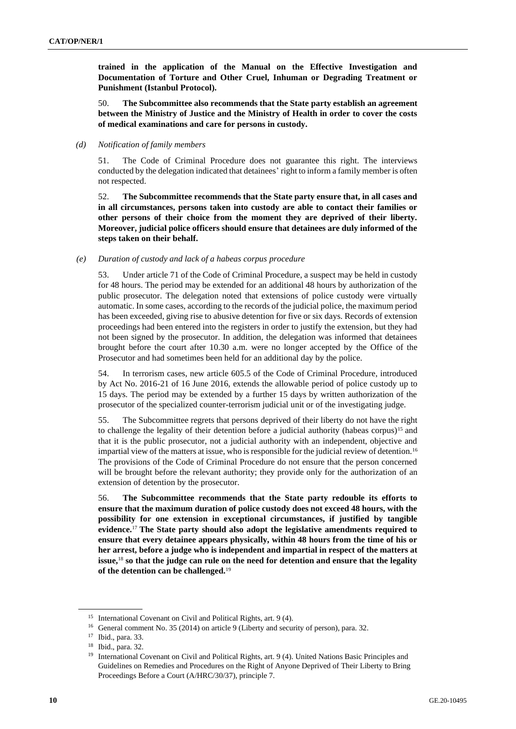**trained in the application of the Manual on the Effective Investigation and Documentation of Torture and Other Cruel, Inhuman or Degrading Treatment or Punishment (Istanbul Protocol).**

50. **The Subcommittee also recommends that the State party establish an agreement between the Ministry of Justice and the Ministry of Health in order to cover the costs of medical examinations and care for persons in custody.**

#### *(d) Notification of family members*

51. The Code of Criminal Procedure does not guarantee this right. The interviews conducted by the delegation indicated that detainees' right to inform a family member is often not respected.

52. **The Subcommittee recommends that the State party ensure that, in all cases and in all circumstances, persons taken into custody are able to contact their families or other persons of their choice from the moment they are deprived of their liberty. Moreover, judicial police officers should ensure that detainees are duly informed of the steps taken on their behalf.**

#### *(e) Duration of custody and lack of a habeas corpus procedure*

53. Under article 71 of the Code of Criminal Procedure, a suspect may be held in custody for 48 hours. The period may be extended for an additional 48 hours by authorization of the public prosecutor. The delegation noted that extensions of police custody were virtually automatic. In some cases, according to the records of the judicial police, the maximum period has been exceeded, giving rise to abusive detention for five or six days. Records of extension proceedings had been entered into the registers in order to justify the extension, but they had not been signed by the prosecutor. In addition, the delegation was informed that detainees brought before the court after 10.30 a.m. were no longer accepted by the Office of the Prosecutor and had sometimes been held for an additional day by the police.

54. In terrorism cases, new article 605.5 of the Code of Criminal Procedure, introduced by Act No. 2016-21 of 16 June 2016, extends the allowable period of police custody up to 15 days. The period may be extended by a further 15 days by written authorization of the prosecutor of the specialized counter-terrorism judicial unit or of the investigating judge.

55. The Subcommittee regrets that persons deprived of their liberty do not have the right to challenge the legality of their detention before a judicial authority (habeas corpus)<sup>15</sup> and that it is the public prosecutor, not a judicial authority with an independent, objective and impartial view of the matters at issue, who is responsible for the judicial review of detention.<sup>16</sup> The provisions of the Code of Criminal Procedure do not ensure that the person concerned will be brought before the relevant authority; they provide only for the authorization of an extension of detention by the prosecutor.

56. **The Subcommittee recommends that the State party redouble its efforts to ensure that the maximum duration of police custody does not exceed 48 hours, with the possibility for one extension in exceptional circumstances, if justified by tangible evidence.**<sup>17</sup> **The State party should also adopt the legislative amendments required to ensure that every detainee appears physically, within 48 hours from the time of his or her arrest, before a judge who is independent and impartial in respect of the matters at issue,**<sup>18</sup> **so that the judge can rule on the need for detention and ensure that the legality of the detention can be challenged.**<sup>19</sup>

<sup>&</sup>lt;sup>15</sup> International Covenant on Civil and Political Rights, art. 9 (4).

<sup>&</sup>lt;sup>16</sup> General comment No. 35 (2014) on article 9 (Liberty and security of person), para. 32.

<sup>17</sup> Ibid., para. 33.

<sup>18</sup> Ibid., para. 32.

<sup>19</sup> International Covenant on Civil and Political Rights, art. 9 (4). United Nations Basic Principles and Guidelines on Remedies and Procedures on the Right of Anyone Deprived of Their Liberty to Bring Proceedings Before a Court (A/HRC/30/37), principle 7.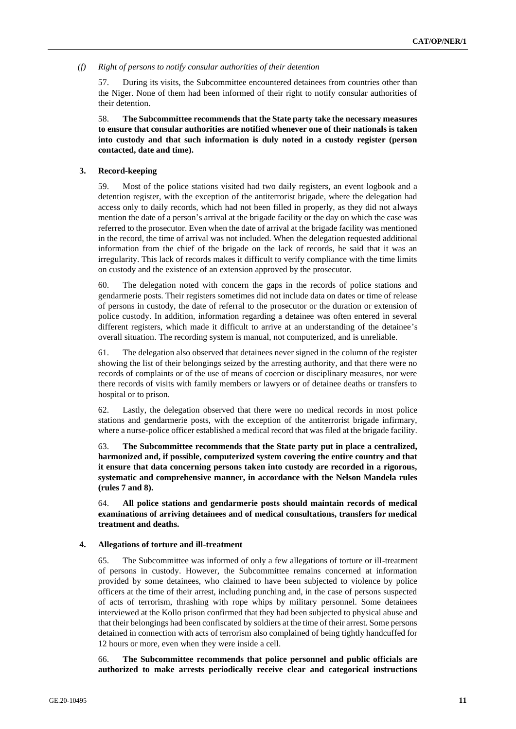#### *(f) Right of persons to notify consular authorities of their detention*

57. During its visits, the Subcommittee encountered detainees from countries other than the Niger. None of them had been informed of their right to notify consular authorities of their detention.

58. **The Subcommittee recommends that the State party take the necessary measures to ensure that consular authorities are notified whenever one of their nationals is taken into custody and that such information is duly noted in a custody register (person contacted, date and time).**

#### **3. Record-keeping**

59. Most of the police stations visited had two daily registers, an event logbook and a detention register, with the exception of the antiterrorist brigade, where the delegation had access only to daily records, which had not been filled in properly, as they did not always mention the date of a person's arrival at the brigade facility or the day on which the case was referred to the prosecutor. Even when the date of arrival at the brigade facility was mentioned in the record, the time of arrival was not included. When the delegation requested additional information from the chief of the brigade on the lack of records, he said that it was an irregularity. This lack of records makes it difficult to verify compliance with the time limits on custody and the existence of an extension approved by the prosecutor.

60. The delegation noted with concern the gaps in the records of police stations and gendarmerie posts. Their registers sometimes did not include data on dates or time of release of persons in custody, the date of referral to the prosecutor or the duration or extension of police custody. In addition, information regarding a detainee was often entered in several different registers, which made it difficult to arrive at an understanding of the detainee's overall situation. The recording system is manual, not computerized, and is unreliable.

61. The delegation also observed that detainees never signed in the column of the register showing the list of their belongings seized by the arresting authority, and that there were no records of complaints or of the use of means of coercion or disciplinary measures, nor were there records of visits with family members or lawyers or of detainee deaths or transfers to hospital or to prison.

62. Lastly, the delegation observed that there were no medical records in most police stations and gendarmerie posts, with the exception of the antiterrorist brigade infirmary, where a nurse-police officer established a medical record that was filed at the brigade facility.

63. **The Subcommittee recommends that the State party put in place a centralized, harmonized and, if possible, computerized system covering the entire country and that it ensure that data concerning persons taken into custody are recorded in a rigorous, systematic and comprehensive manner, in accordance with the Nelson Mandela rules (rules 7 and 8).**

64. **All police stations and gendarmerie posts should maintain records of medical examinations of arriving detainees and of medical consultations, transfers for medical treatment and deaths.**

#### **4. Allegations of torture and ill-treatment**

65. The Subcommittee was informed of only a few allegations of torture or ill-treatment of persons in custody. However, the Subcommittee remains concerned at information provided by some detainees, who claimed to have been subjected to violence by police officers at the time of their arrest, including punching and, in the case of persons suspected of acts of terrorism, thrashing with rope whips by military personnel. Some detainees interviewed at the Kollo prison confirmed that they had been subjected to physical abuse and that their belongings had been confiscated by soldiers at the time of their arrest. Some persons detained in connection with acts of terrorism also complained of being tightly handcuffed for 12 hours or more, even when they were inside a cell.

66. **The Subcommittee recommends that police personnel and public officials are authorized to make arrests periodically receive clear and categorical instructions**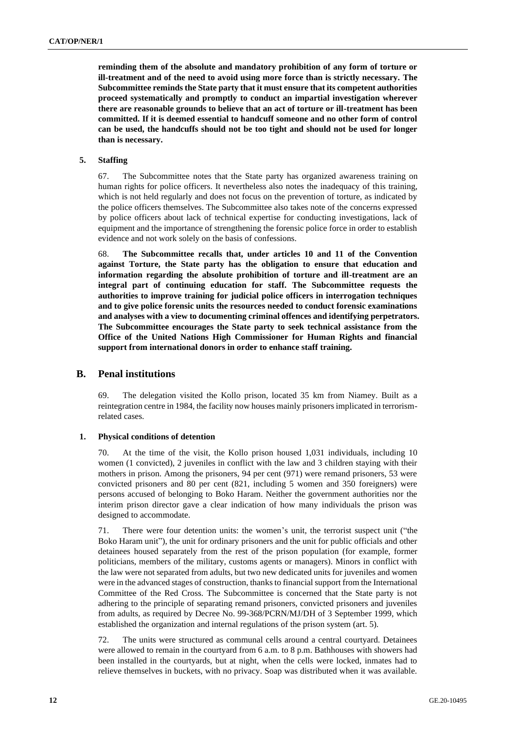**reminding them of the absolute and mandatory prohibition of any form of torture or ill-treatment and of the need to avoid using more force than is strictly necessary. The Subcommittee reminds the State party that it must ensure that its competent authorities proceed systematically and promptly to conduct an impartial investigation wherever there are reasonable grounds to believe that an act of torture or ill-treatment has been committed. If it is deemed essential to handcuff someone and no other form of control can be used, the handcuffs should not be too tight and should not be used for longer than is necessary.**

#### **5. Staffing**

67. The Subcommittee notes that the State party has organized awareness training on human rights for police officers. It nevertheless also notes the inadequacy of this training, which is not held regularly and does not focus on the prevention of torture, as indicated by the police officers themselves. The Subcommittee also takes note of the concerns expressed by police officers about lack of technical expertise for conducting investigations, lack of equipment and the importance of strengthening the forensic police force in order to establish evidence and not work solely on the basis of confessions.

68. **The Subcommittee recalls that, under articles 10 and 11 of the Convention against Torture, the State party has the obligation to ensure that education and information regarding the absolute prohibition of torture and ill-treatment are an integral part of continuing education for staff. The Subcommittee requests the authorities to improve training for judicial police officers in interrogation techniques and to give police forensic units the resources needed to conduct forensic examinations and analyses with a view to documenting criminal offences and identifying perpetrators. The Subcommittee encourages the State party to seek technical assistance from the Office of the United Nations High Commissioner for Human Rights and financial support from international donors in order to enhance staff training.**

### **B. Penal institutions**

69. The delegation visited the Kollo prison, located 35 km from Niamey. Built as a reintegration centre in 1984, the facility now houses mainly prisoners implicated in terrorismrelated cases.

#### **1. Physical conditions of detention**

70. At the time of the visit, the Kollo prison housed 1,031 individuals, including 10 women (1 convicted), 2 juveniles in conflict with the law and 3 children staying with their mothers in prison. Among the prisoners, 94 per cent (971) were remand prisoners, 53 were convicted prisoners and 80 per cent (821, including 5 women and 350 foreigners) were persons accused of belonging to Boko Haram. Neither the government authorities nor the interim prison director gave a clear indication of how many individuals the prison was designed to accommodate.

71. There were four detention units: the women's unit, the terrorist suspect unit ("the Boko Haram unit"), the unit for ordinary prisoners and the unit for public officials and other detainees housed separately from the rest of the prison population (for example, former politicians, members of the military, customs agents or managers). Minors in conflict with the law were not separated from adults, but two new dedicated units for juveniles and women were in the advanced stages of construction, thanks to financial support from the International Committee of the Red Cross. The Subcommittee is concerned that the State party is not adhering to the principle of separating remand prisoners, convicted prisoners and juveniles from adults, as required by Decree No. 99-368/PCRN/MJ/DH of 3 September 1999, which established the organization and internal regulations of the prison system (art. 5).

72. The units were structured as communal cells around a central courtyard. Detainees were allowed to remain in the courtyard from 6 a.m. to 8 p.m. Bathhouses with showers had been installed in the courtyards, but at night, when the cells were locked, inmates had to relieve themselves in buckets, with no privacy. Soap was distributed when it was available.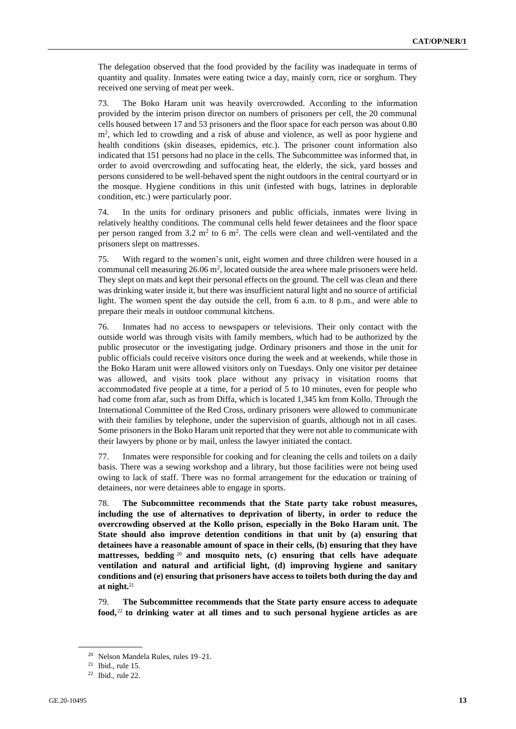The delegation observed that the food provided by the facility was inadequate in terms of quantity and quality. Inmates were eating twice a day, mainly corn, rice or sorghum. They received one serving of meat per week.

73. The Boko Haram unit was heavily overcrowded. According to the information provided by the interim prison director on numbers of prisoners per cell, the 20 communal cells housed between 17 and 53 prisoners and the floor space for each person was about 0.80 m<sup>2</sup>, which led to crowding and a risk of abuse and violence, as well as poor hygiene and health conditions (skin diseases, epidemics, etc.). The prisoner count information also indicated that 151 persons had no place in the cells. The Subcommittee was informed that, in order to avoid overcrowding and suffocating heat, the elderly, the sick, yard bosses and persons considered to be well-behaved spent the night outdoors in the central courtyard or in the mosque. Hygiene conditions in this unit (infested with bugs, latrines in deplorable condition, etc.) were particularly poor.

74. In the units for ordinary prisoners and public officials, inmates were living in relatively healthy conditions. The communal cells held fewer detainees and the floor space per person ranged from  $3.2 \text{ m}^2$  to 6 m<sup>2</sup>. The cells were clean and well-ventilated and the prisoners slept on mattresses.

75. With regard to the women's unit, eight women and three children were housed in a communal cell measuring  $26.06 \text{ m}^2$ , located outside the area where male prisoners were held. They slept on mats and kept their personal effects on the ground. The cell was clean and there was drinking water inside it, but there was insufficient natural light and no source of artificial light. The women spent the day outside the cell, from 6 a.m. to 8 p.m., and were able to prepare their meals in outdoor communal kitchens.

76. Inmates had no access to newspapers or televisions. Their only contact with the outside world was through visits with family members, which had to be authorized by the public prosecutor or the investigating judge. Ordinary prisoners and those in the unit for public officials could receive visitors once during the week and at weekends, while those in the Boko Haram unit were allowed visitors only on Tuesdays. Only one visitor per detainee was allowed, and visits took place without any privacy in visitation rooms that accommodated five people at a time, for a period of 5 to 10 minutes, even for people who had come from afar, such as from Diffa, which is located 1,345 km from Kollo. Through the International Committee of the Red Cross, ordinary prisoners were allowed to communicate with their families by telephone, under the supervision of guards, although not in all cases. Some prisoners in the Boko Haram unit reported that they were not able to communicate with their lawyers by phone or by mail, unless the lawyer initiated the contact.

77. Inmates were responsible for cooking and for cleaning the cells and toilets on a daily basis. There was a sewing workshop and a library, but those facilities were not being used owing to lack of staff. There was no formal arrangement for the education or training of detainees, nor were detainees able to engage in sports.

78. **The Subcommittee recommends that the State party take robust measures, including the use of alternatives to deprivation of liberty, in order to reduce the overcrowding observed at the Kollo prison, especially in the Boko Haram unit. The State should also improve detention conditions in that unit by (a) ensuring that detainees have a reasonable amount of space in their cells, (b) ensuring that they have mattresses, bedding** <sup>20</sup> **and mosquito nets, (c) ensuring that cells have adequate ventilation and natural and artificial light, (d) improving hygiene and sanitary conditions and (e) ensuring that prisoners have access to toilets both during the day and at night.**<sup>21</sup>

79. **The Subcommittee recommends that the State party ensure access to adequate food,** <sup>22</sup> **to drinking water at all times and to such personal hygiene articles as are** 

<sup>20</sup> Nelson Mandela Rules, rules 19–21.

 $21$  Ibid., rule 15.

 $22$  Ibid., rule 22.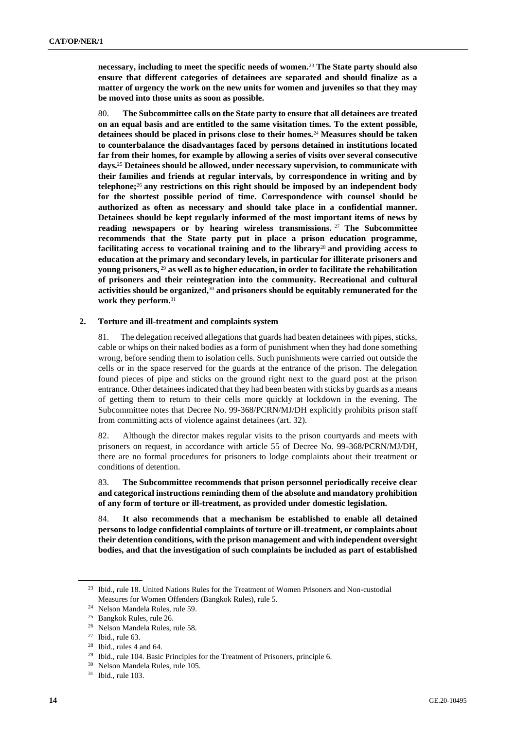**necessary, including to meet the specific needs of women.**<sup>23</sup> **The State party should also ensure that different categories of detainees are separated and should finalize as a matter of urgency the work on the new units for women and juveniles so that they may be moved into those units as soon as possible.**

80. **The Subcommittee calls on the State party to ensure that all detainees are treated on an equal basis and are entitled to the same visitation times. To the extent possible, detainees should be placed in prisons close to their homes.**<sup>24</sup> **Measures should be taken to counterbalance the disadvantages faced by persons detained in institutions located far from their homes, for example by allowing a series of visits over several consecutive days.**<sup>25</sup> **Detainees should be allowed, under necessary supervision, to communicate with their families and friends at regular intervals, by correspondence in writing and by telephone;**<sup>26</sup> **any restrictions on this right should be imposed by an independent body for the shortest possible period of time. Correspondence with counsel should be authorized as often as necessary and should take place in a confidential manner. Detainees should be kept regularly informed of the most important items of news by reading newspapers or by hearing wireless transmissions.** <sup>27</sup> **The Subcommittee recommends that the State party put in place a prison education programme, facilitating access to vocational training and to the library**<sup>28</sup> **and providing access to education at the primary and secondary levels, in particular for illiterate prisoners and young prisoners,** <sup>29</sup> **as well as to higher education, in order to facilitate the rehabilitation of prisoners and their reintegration into the community. Recreational and cultural activities should be organized,**<sup>30</sup> **and prisoners should be equitably remunerated for the work they perform.**<sup>31</sup>

#### **2. Torture and ill-treatment and complaints system**

81. The delegation received allegations that guards had beaten detainees with pipes, sticks, cable or whips on their naked bodies as a form of punishment when they had done something wrong, before sending them to isolation cells. Such punishments were carried out outside the cells or in the space reserved for the guards at the entrance of the prison. The delegation found pieces of pipe and sticks on the ground right next to the guard post at the prison entrance. Other detainees indicated that they had been beaten with sticks by guards as a means of getting them to return to their cells more quickly at lockdown in the evening. The Subcommittee notes that Decree No. 99-368/PCRN/MJ/DH explicitly prohibits prison staff from committing acts of violence against detainees (art. 32).

82. Although the director makes regular visits to the prison courtyards and meets with prisoners on request, in accordance with article 55 of Decree No. 99-368/PCRN/MJ/DH, there are no formal procedures for prisoners to lodge complaints about their treatment or conditions of detention.

83. **The Subcommittee recommends that prison personnel periodically receive clear and categorical instructions reminding them of the absolute and mandatory prohibition of any form of torture or ill-treatment, as provided under domestic legislation.**

84. **It also recommends that a mechanism be established to enable all detained persons to lodge confidential complaints of torture or ill-treatment, or complaints about their detention conditions, with the prison management and with independent oversight bodies, and that the investigation of such complaints be included as part of established** 

<sup>&</sup>lt;sup>23</sup> Ibid., rule 18. United Nations Rules for the Treatment of Women Prisoners and Non-custodial Measures for Women Offenders (Bangkok Rules), rule 5.

<sup>24</sup> Nelson Mandela Rules, rule 59.

<sup>25</sup> Bangkok Rules, rule 26.

<sup>26</sup> Nelson Mandela Rules, rule 58.

 $27$  Ibid., rule 63.

 $28$  Ibid., rules 4 and 64.

<sup>&</sup>lt;sup>29</sup> Ibid., rule 104. Basic Principles for the Treatment of Prisoners, principle 6.

<sup>30</sup> Nelson Mandela Rules, rule 105.

 $31$  Ibid., rule 103.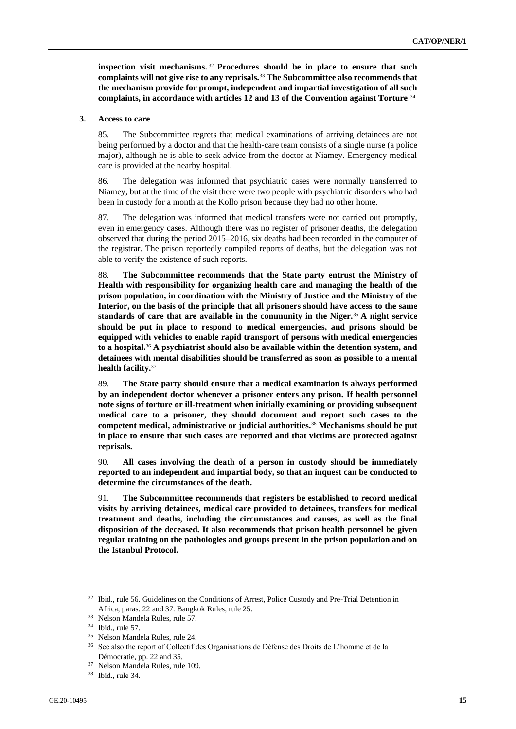**inspection visit mechanisms.** <sup>32</sup> **Procedures should be in place to ensure that such complaints will not give rise to any reprisals.**<sup>33</sup> **The Subcommittee also recommends that the mechanism provide for prompt, independent and impartial investigation of all such complaints, in accordance with articles 12 and 13 of the Convention against Torture**. 34

#### **3. Access to care**

85. The Subcommittee regrets that medical examinations of arriving detainees are not being performed by a doctor and that the health-care team consists of a single nurse (a police major), although he is able to seek advice from the doctor at Niamey. Emergency medical care is provided at the nearby hospital.

86. The delegation was informed that psychiatric cases were normally transferred to Niamey, but at the time of the visit there were two people with psychiatric disorders who had been in custody for a month at the Kollo prison because they had no other home.

87. The delegation was informed that medical transfers were not carried out promptly, even in emergency cases. Although there was no register of prisoner deaths, the delegation observed that during the period 2015–2016, six deaths had been recorded in the computer of the registrar. The prison reportedly compiled reports of deaths, but the delegation was not able to verify the existence of such reports.

88. **The Subcommittee recommends that the State party entrust the Ministry of Health with responsibility for organizing health care and managing the health of the prison population, in coordination with the Ministry of Justice and the Ministry of the Interior, on the basis of the principle that all prisoners should have access to the same standards of care that are available in the community in the Niger.**<sup>35</sup> **A night service should be put in place to respond to medical emergencies, and prisons should be equipped with vehicles to enable rapid transport of persons with medical emergencies to a hospital.**<sup>36</sup> **A psychiatrist should also be available within the detention system, and detainees with mental disabilities should be transferred as soon as possible to a mental health facility.**<sup>37</sup>

89. **The State party should ensure that a medical examination is always performed by an independent doctor whenever a prisoner enters any prison. If health personnel note signs of torture or ill-treatment when initially examining or providing subsequent medical care to a prisoner, they should document and report such cases to the competent medical, administrative or judicial authorities.**<sup>38</sup> **Mechanisms should be put in place to ensure that such cases are reported and that victims are protected against reprisals.**

90. **All cases involving the death of a person in custody should be immediately reported to an independent and impartial body, so that an inquest can be conducted to determine the circumstances of the death.**

91. **The Subcommittee recommends that registers be established to record medical visits by arriving detainees, medical care provided to detainees, transfers for medical treatment and deaths, including the circumstances and causes, as well as the final disposition of the deceased. It also recommends that prison health personnel be given regular training on the pathologies and groups present in the prison population and on the Istanbul Protocol.**

<sup>&</sup>lt;sup>32</sup> Ibid., rule 56. Guidelines on the Conditions of Arrest, Police Custody and Pre-Trial Detention in Africa, paras. 22 and 37. Bangkok Rules, rule 25.

<sup>33</sup> Nelson Mandela Rules, rule 57.

<sup>34</sup> Ibid., rule 57.

<sup>35</sup> Nelson Mandela Rules, rule 24.

<sup>36</sup> See also the report of Collectif des Organisations de Défense des Droits de L'homme et de la Démocratie, pp. 22 and 35.

<sup>37</sup> Nelson Mandela Rules, rule 109.

<sup>38</sup> Ibid., rule 34.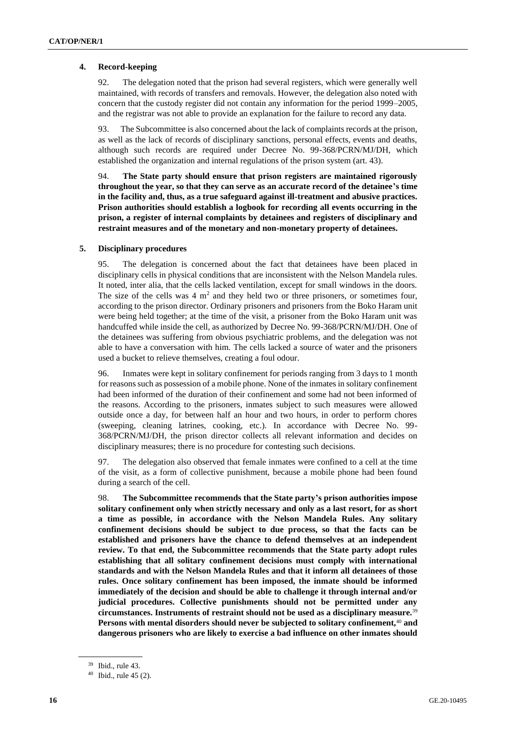### **4. Record-keeping**

92. The delegation noted that the prison had several registers, which were generally well maintained, with records of transfers and removals. However, the delegation also noted with concern that the custody register did not contain any information for the period 1999–2005, and the registrar was not able to provide an explanation for the failure to record any data.

93. The Subcommittee is also concerned about the lack of complaints records at the prison, as well as the lack of records of disciplinary sanctions, personal effects, events and deaths, although such records are required under Decree No. 99-368/PCRN/MJ/DH, which established the organization and internal regulations of the prison system (art. 43).

94. **The State party should ensure that prison registers are maintained rigorously throughout the year, so that they can serve as an accurate record of the detainee's time in the facility and, thus, as a true safeguard against ill-treatment and abusive practices. Prison authorities should establish a logbook for recording all events occurring in the prison, a register of internal complaints by detainees and registers of disciplinary and restraint measures and of the monetary and non-monetary property of detainees.**

### **5. Disciplinary procedures**

95. The delegation is concerned about the fact that detainees have been placed in disciplinary cells in physical conditions that are inconsistent with the Nelson Mandela rules. It noted, inter alia, that the cells lacked ventilation, except for small windows in the doors. The size of the cells was  $4 \text{ m}^2$  and they held two or three prisoners, or sometimes four, according to the prison director. Ordinary prisoners and prisoners from the Boko Haram unit were being held together; at the time of the visit, a prisoner from the Boko Haram unit was handcuffed while inside the cell, as authorized by Decree No. 99-368/PCRN/MJ/DH. One of the detainees was suffering from obvious psychiatric problems, and the delegation was not able to have a conversation with him. The cells lacked a source of water and the prisoners used a bucket to relieve themselves, creating a foul odour.

96. Inmates were kept in solitary confinement for periods ranging from 3 days to 1 month for reasons such as possession of a mobile phone. None of the inmates in solitary confinement had been informed of the duration of their confinement and some had not been informed of the reasons. According to the prisoners, inmates subject to such measures were allowed outside once a day, for between half an hour and two hours, in order to perform chores (sweeping, cleaning latrines, cooking, etc.). In accordance with Decree No. 99- 368/PCRN/MJ/DH, the prison director collects all relevant information and decides on disciplinary measures; there is no procedure for contesting such decisions.

97. The delegation also observed that female inmates were confined to a cell at the time of the visit, as a form of collective punishment, because a mobile phone had been found during a search of the cell.

98. **The Subcommittee recommends that the State party's prison authorities impose solitary confinement only when strictly necessary and only as a last resort, for as short a time as possible, in accordance with the Nelson Mandela Rules. Any solitary confinement decisions should be subject to due process, so that the facts can be established and prisoners have the chance to defend themselves at an independent review. To that end, the Subcommittee recommends that the State party adopt rules establishing that all solitary confinement decisions must comply with international standards and with the Nelson Mandela Rules and that it inform all detainees of those rules. Once solitary confinement has been imposed, the inmate should be informed immediately of the decision and should be able to challenge it through internal and/or judicial procedures. Collective punishments should not be permitted under any circumstances. Instruments of restraint should not be used as a disciplinary measure.**<sup>39</sup> **Persons with mental disorders should never be subjected to solitary confinement,**<sup>40</sup> **and dangerous prisoners who are likely to exercise a bad influence on other inmates should** 

<sup>39</sup> Ibid., rule 43.

 $40$  Ibid., rule 45 (2).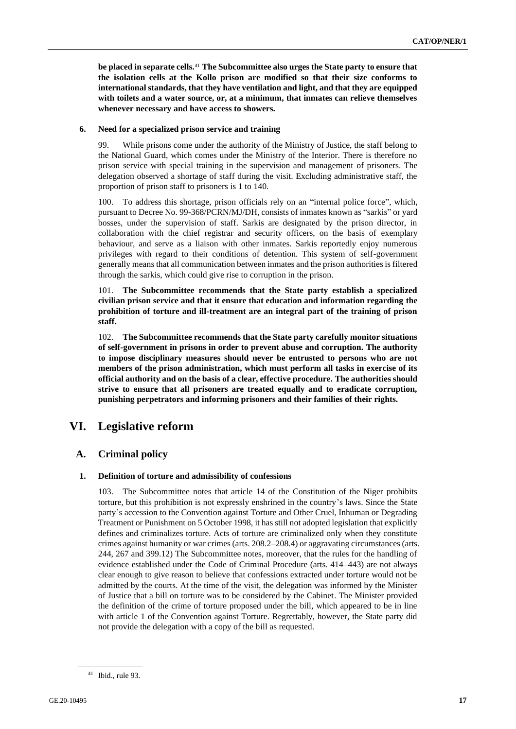**be placed in separate cells.**<sup>41</sup> **The Subcommittee also urges the State party to ensure that the isolation cells at the Kollo prison are modified so that their size conforms to international standards, that they have ventilation and light, and that they are equipped with toilets and a water source, or, at a minimum, that inmates can relieve themselves whenever necessary and have access to showers.**

#### **6. Need for a specialized prison service and training**

99. While prisons come under the authority of the Ministry of Justice, the staff belong to the National Guard, which comes under the Ministry of the Interior. There is therefore no prison service with special training in the supervision and management of prisoners. The delegation observed a shortage of staff during the visit. Excluding administrative staff, the proportion of prison staff to prisoners is 1 to 140.

100. To address this shortage, prison officials rely on an "internal police force", which, pursuant to Decree No. 99-368/PCRN/MJ/DH, consists of inmates known as "sarkis" or yard bosses, under the supervision of staff. Sarkis are designated by the prison director, in collaboration with the chief registrar and security officers, on the basis of exemplary behaviour, and serve as a liaison with other inmates. Sarkis reportedly enjoy numerous privileges with regard to their conditions of detention. This system of self-government generally means that all communication between inmates and the prison authorities is filtered through the sarkis, which could give rise to corruption in the prison.

101. **The Subcommittee recommends that the State party establish a specialized civilian prison service and that it ensure that education and information regarding the prohibition of torture and ill-treatment are an integral part of the training of prison staff.**

102. **The Subcommittee recommends that the State party carefully monitor situations of self-government in prisons in order to prevent abuse and corruption. The authority to impose disciplinary measures should never be entrusted to persons who are not members of the prison administration, which must perform all tasks in exercise of its official authority and on the basis of a clear, effective procedure. The authorities should strive to ensure that all prisoners are treated equally and to eradicate corruption, punishing perpetrators and informing prisoners and their families of their rights.**

### **VI. Legislative reform**

### **A. Criminal policy**

### **1. Definition of torture and admissibility of confessions**

103. The Subcommittee notes that article 14 of the Constitution of the Niger prohibits torture, but this prohibition is not expressly enshrined in the country's laws. Since the State party's accession to the Convention against Torture and Other Cruel, Inhuman or Degrading Treatment or Punishment on 5 October 1998, it has still not adopted legislation that explicitly defines and criminalizes torture. Acts of torture are criminalized only when they constitute crimes against humanity or war crimes (arts. 208.2–208.4) or aggravating circumstances (arts. 244, 267 and 399.12) The Subcommittee notes, moreover, that the rules for the handling of evidence established under the Code of Criminal Procedure (arts. 414–443) are not always clear enough to give reason to believe that confessions extracted under torture would not be admitted by the courts. At the time of the visit, the delegation was informed by the Minister of Justice that a bill on torture was to be considered by the Cabinet. The Minister provided the definition of the crime of torture proposed under the bill, which appeared to be in line with article 1 of the Convention against Torture. Regrettably, however, the State party did not provide the delegation with a copy of the bill as requested.

 $41$  Ibid., rule 93.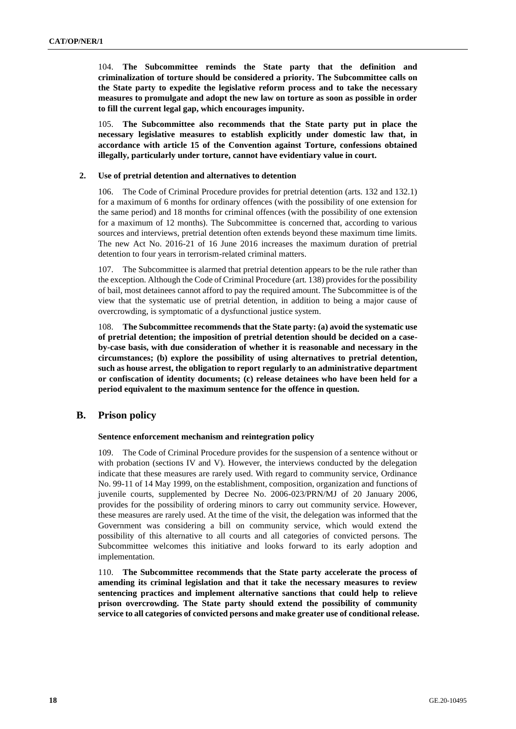104. **The Subcommittee reminds the State party that the definition and criminalization of torture should be considered a priority. The Subcommittee calls on the State party to expedite the legislative reform process and to take the necessary measures to promulgate and adopt the new law on torture as soon as possible in order to fill the current legal gap, which encourages impunity.**

105. **The Subcommittee also recommends that the State party put in place the necessary legislative measures to establish explicitly under domestic law that, in accordance with article 15 of the Convention against Torture, confessions obtained illegally, particularly under torture, cannot have evidentiary value in court.**

#### **2. Use of pretrial detention and alternatives to detention**

106. The Code of Criminal Procedure provides for pretrial detention (arts. 132 and 132.1) for a maximum of 6 months for ordinary offences (with the possibility of one extension for the same period) and 18 months for criminal offences (with the possibility of one extension for a maximum of 12 months). The Subcommittee is concerned that, according to various sources and interviews, pretrial detention often extends beyond these maximum time limits. The new Act No. 2016-21 of 16 June 2016 increases the maximum duration of pretrial detention to four years in terrorism-related criminal matters.

107. The Subcommittee is alarmed that pretrial detention appears to be the rule rather than the exception. Although the Code of Criminal Procedure (art. 138) provides for the possibility of bail, most detainees cannot afford to pay the required amount. The Subcommittee is of the view that the systematic use of pretrial detention, in addition to being a major cause of overcrowding, is symptomatic of a dysfunctional justice system.

108. **The Subcommittee recommends that the State party: (a) avoid the systematic use of pretrial detention; the imposition of pretrial detention should be decided on a caseby-case basis, with due consideration of whether it is reasonable and necessary in the circumstances; (b) explore the possibility of using alternatives to pretrial detention, such as house arrest, the obligation to report regularly to an administrative department or confiscation of identity documents; (c) release detainees who have been held for a period equivalent to the maximum sentence for the offence in question.**

### **B. Prison policy**

#### **Sentence enforcement mechanism and reintegration policy**

109. The Code of Criminal Procedure provides for the suspension of a sentence without or with probation (sections IV and V). However, the interviews conducted by the delegation indicate that these measures are rarely used. With regard to community service, Ordinance No. 99-11 of 14 May 1999, on the establishment, composition, organization and functions of juvenile courts, supplemented by Decree No. 2006-023/PRN/MJ of 20 January 2006, provides for the possibility of ordering minors to carry out community service. However, these measures are rarely used. At the time of the visit, the delegation was informed that the Government was considering a bill on community service, which would extend the possibility of this alternative to all courts and all categories of convicted persons. The Subcommittee welcomes this initiative and looks forward to its early adoption and implementation.

110. **The Subcommittee recommends that the State party accelerate the process of amending its criminal legislation and that it take the necessary measures to review sentencing practices and implement alternative sanctions that could help to relieve prison overcrowding. The State party should extend the possibility of community service to all categories of convicted persons and make greater use of conditional release.**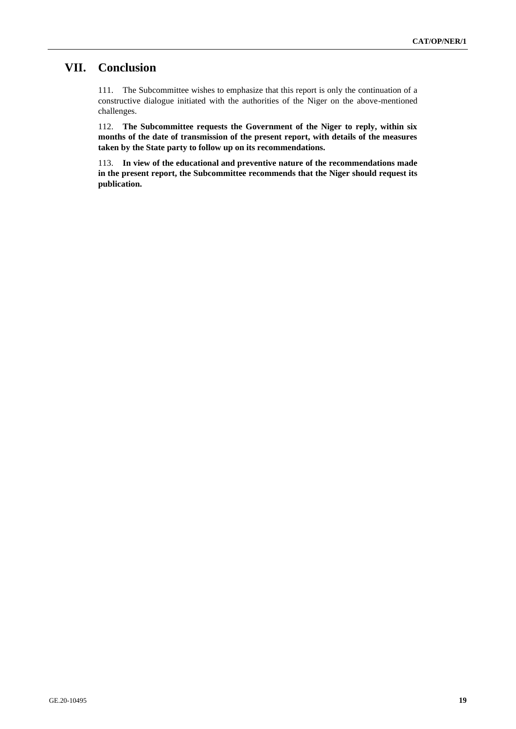# **VII. Conclusion**

111. The Subcommittee wishes to emphasize that this report is only the continuation of a constructive dialogue initiated with the authorities of the Niger on the above-mentioned challenges.

112. **The Subcommittee requests the Government of the Niger to reply, within six months of the date of transmission of the present report, with details of the measures taken by the State party to follow up on its recommendations.**

113. **In view of the educational and preventive nature of the recommendations made in the present report, the Subcommittee recommends that the Niger should request its publication.**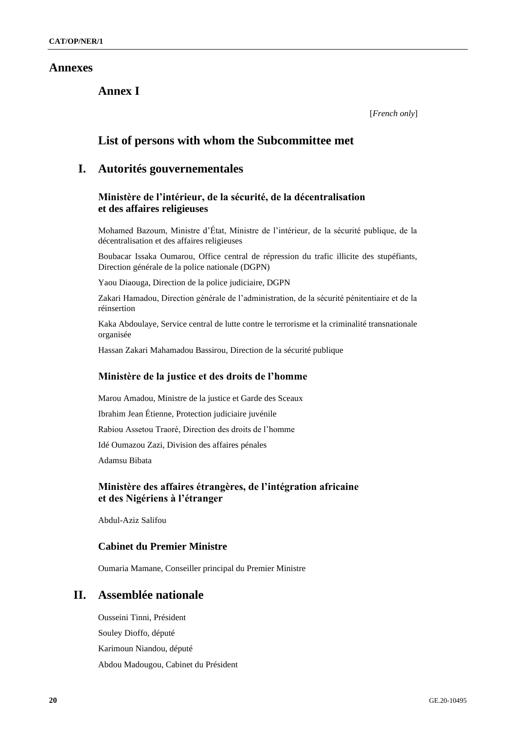### **Annexes**

**Annex I**

[*French only*]

# **List of persons with whom the Subcommittee met**

## **I. Autorités gouvernementales**

### **Ministère de l'intérieur, de la sécurité, de la décentralisation et des affaires religieuses**

Mohamed Bazoum, Ministre d'État, Ministre de l'intérieur, de la sécurité publique, de la décentralisation et des affaires religieuses

Boubacar Issaka Oumarou, Office central de répression du trafic illicite des stupéfiants, Direction générale de la police nationale (DGPN)

Yaou Diaouga, Direction de la police judiciaire, DGPN

Zakari Hamadou, Direction générale de l'administration, de la sécurité pénitentiaire et de la réinsertion

Kaka Abdoulaye, Service central de lutte contre le terrorisme et la criminalité transnationale organisée

Hassan Zakari Mahamadou Bassirou, Direction de la sécurité publique

### **Ministère de la justice et des droits de l'homme**

Marou Amadou, Ministre de la justice et Garde des Sceaux Ibrahim Jean Étienne, Protection judiciaire juvénile Rabiou Assetou Traoré, Direction des droits de l'homme Idé Oumazou Zazi, Division des affaires pénales Adamsu Bibata

**Ministère des affaires étrangères, de l'intégration africaine et des Nigériens à l'étranger** 

Abdul-Aziz Salifou

### **Cabinet du Premier Ministre**

Oumaria Mamane, Conseiller principal du Premier Ministre

# **II. Assemblée nationale**

Ousseini Tinni, Président Souley Dioffo, député Karimoun Niandou, député Abdou Madougou, Cabinet du Président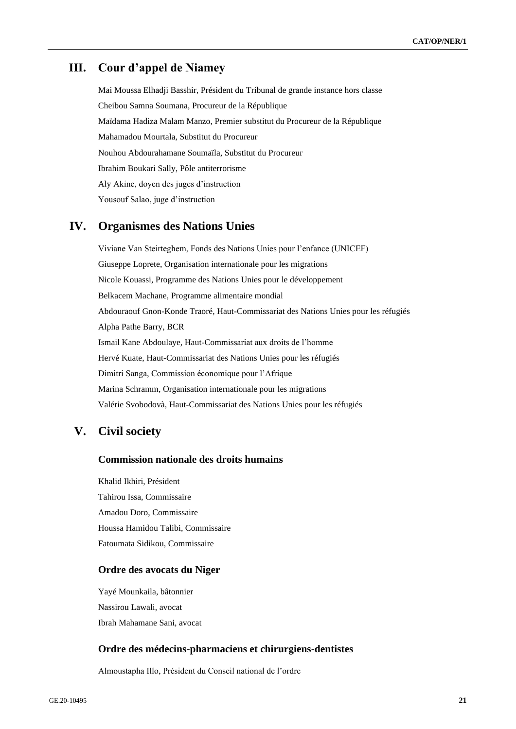### **III. Cour d'appel de Niamey**

Mai Moussa Elhadji Basshir, Président du Tribunal de grande instance hors classe Cheibou Samna Soumana, Procureur de la République Maïdama Hadiza Malam Manzo, Premier substitut du Procureur de la République Mahamadou Mourtala, Substitut du Procureur Nouhou Abdourahamane Soumaïla, Substitut du Procureur Ibrahim Boukari Sally, Pôle antiterrorisme Aly Akine, doyen des juges d'instruction Yousouf Salao, juge d'instruction

# **IV. Organismes des Nations Unies**

Viviane Van Steirteghem, Fonds des Nations Unies pour l'enfance (UNICEF) Giuseppe Loprete, Organisation internationale pour les migrations Nicole Kouassi, Programme des Nations Unies pour le développement Belkacem Machane, Programme alimentaire mondial Abdouraouf Gnon-Konde Traoré, Haut-Commissariat des Nations Unies pour les réfugiés Alpha Pathe Barry, BCR Ismail Kane Abdoulaye, Haut-Commissariat aux droits de l'homme Hervé Kuate, Haut-Commissariat des Nations Unies pour les réfugiés Dimitri Sanga, Commission économique pour l'Afrique Marina Schramm, Organisation internationale pour les migrations Valérie Svobodovà, Haut-Commissariat des Nations Unies pour les réfugiés

# **V. Civil society**

### **Commission nationale des droits humains**

Khalid Ikhiri, Président Tahirou Issa, Commissaire Amadou Doro, Commissaire Houssa Hamidou Talibi, Commissaire Fatoumata Sidikou, Commissaire

#### **Ordre des avocats du Niger**

Yayé Mounkaila, bâtonnier Nassirou Lawali, avocat Ibrah Mahamane Sani, avocat

### **Ordre des médecins-pharmaciens et chirurgiens-dentistes**

Almoustapha Illo, Président du Conseil national de l'ordre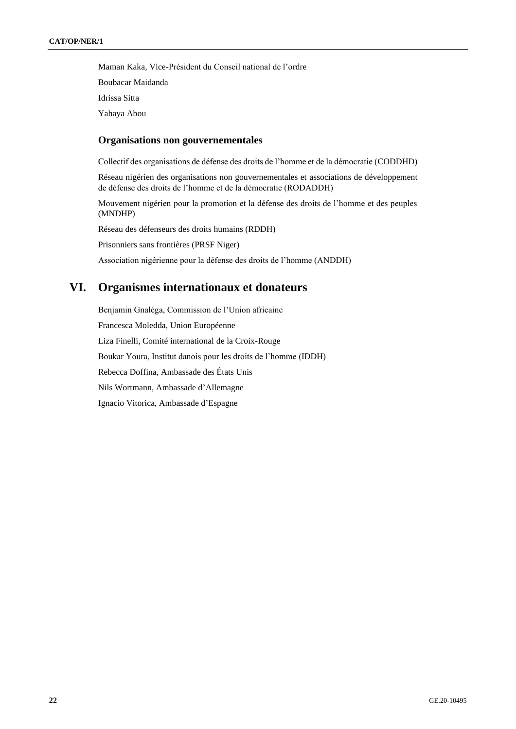Maman Kaka, Vice-Président du Conseil national de l'ordre Boubacar Maidanda Idrissa Sitta Yahaya Abou

### **Organisations non gouvernementales**

Collectif des organisations de défense des droits de l'homme et de la démocratie (CODDHD)

Réseau nigérien des organisations non gouvernementales et associations de développement de défense des droits de l'homme et de la démocratie (RODADDH)

Mouvement nigérien pour la promotion et la défense des droits de l'homme et des peuples (MNDHP)

Réseau des défenseurs des droits humains (RDDH)

Prisonniers sans frontières (PRSF Niger)

Association nigérienne pour la défense des droits de l'homme (ANDDH)

# **VI. Organismes internationaux et donateurs**

Benjamin Gnaléga, Commission de l'Union africaine Francesca Moledda, Union Européenne Liza Finelli, Comité international de la Croix-Rouge Boukar Youra, Institut danois pour les droits de l'homme (IDDH) Rebecca Doffina, Ambassade des États Unis Nils Wortmann, Ambassade d'Allemagne Ignacio Vitorica, Ambassade d'Espagne